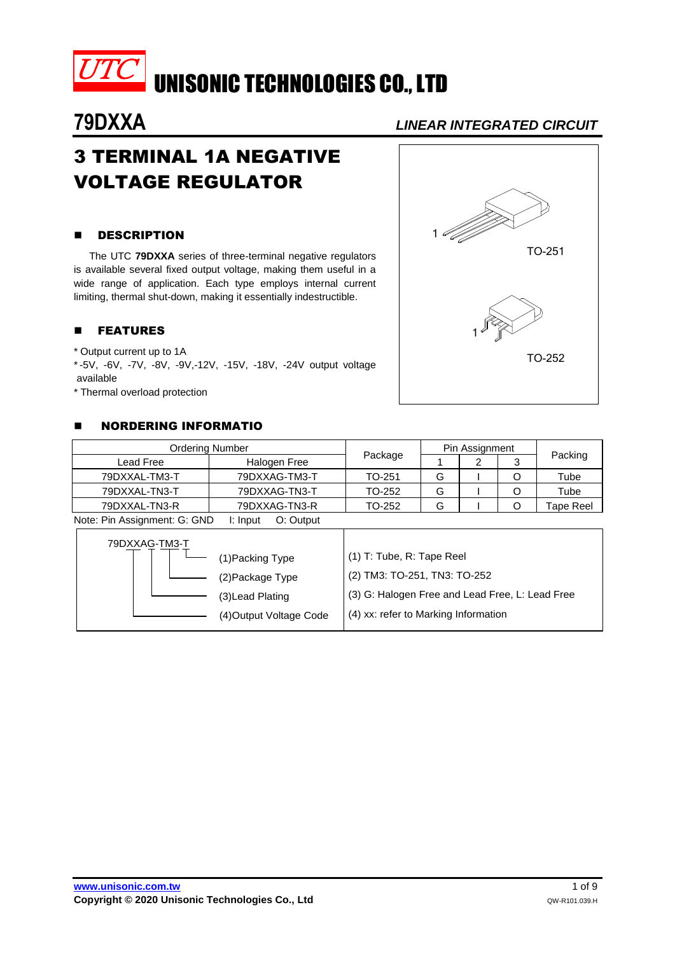

UNISONIC TECHNOLOGIES CO., LTD

# **79DXXA** *LINEAR INTEGRATED CIRCUIT*

# 3 TERMINAL 1A NEGATIVE VOLTAGE REGULATOR

# **B** DESCRIPTION

The UTC **79DXXA** series of three-terminal negative regulators is available several fixed output voltage, making them useful in a wide range of application. Each type employs internal current limiting, thermal shut-down, making it essentially indestructible.

## **E** FEATURES

\* Output current up to 1A

\*-5V, -6V, -7V, -8V, -9V,-12V, -15V, -18V, -24V output voltage available

\* Thermal overload protection

# **NORDERING INFORMATIO**



| <b>Ordering Number</b>       |                                                             |             | Pin Assignment |  |   |           |
|------------------------------|-------------------------------------------------------------|-------------|----------------|--|---|-----------|
| Lead Free                    | Halogen Free                                                | Package     |                |  | ບ | Packing   |
| 79DXXAL-TM3-T                | 79DXXAG-TM3-T                                               | G<br>TO-251 |                |  |   | Tube      |
| 79DXXAL-TN3-T                | 79DXXAG-TN3-T                                               | TO-252      | G              |  |   | Tube      |
| 79DXXAL-TN3-R                | 79DXXAG-TN3-R                                               | TO-252      | G              |  |   | Tape Reel |
| Note: Din Accianment: C. CND | $\bigcap_{i}$ $\bigcap_{i}$ if $\bigcup_{i}$<br>$l$ . Innut |             |                |  |   |           |

Note: Pin Assignment: G: GND I: Input O: Output

| 79DXXAG-TM3-T |                         |                                                 |
|---------------|-------------------------|-------------------------------------------------|
|               | (1)Packing Type         | (1) T: Tube, R: Tape Reel                       |
|               | (2) Package Type        | (2) TM3: TO-251, TN3: TO-252                    |
|               | (3) Lead Plating        | (3) G: Halogen Free and Lead Free, L: Lead Free |
|               | (4) Output Voltage Code | (4) xx: refer to Marking Information            |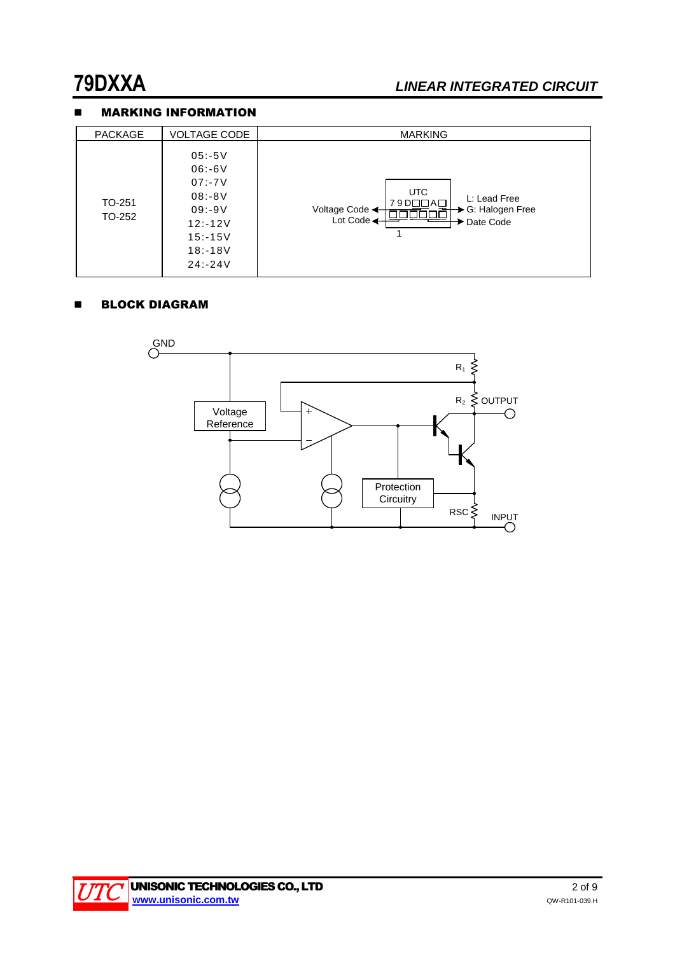# **79DXXA** *LINEAR INTEGRATED CIRCUIT*

# **E** MARKING INFORMATION

| <b>PACKAGE</b>   | <b>VOLTAGE CODE</b>                                                                                                   | <b>MARKING</b>                                                                                                     |
|------------------|-----------------------------------------------------------------------------------------------------------------------|--------------------------------------------------------------------------------------------------------------------|
| TO-251<br>TO-252 | $05: -5V$<br>$06: -6V$<br>$07: -7V$<br>$08: -8V$<br>$09: -9V$<br>$12: -12V$<br>$15: -15V$<br>$18: -18V$<br>$24: -24V$ | <b>UTC</b><br>L: Lead Free<br>,79D <u>O</u> DAQ'<br>Voltage Code <<br>→ G: Halogen Free<br>Lot Code<br>→ Date Code |

# **BLOCK DIAGRAM**



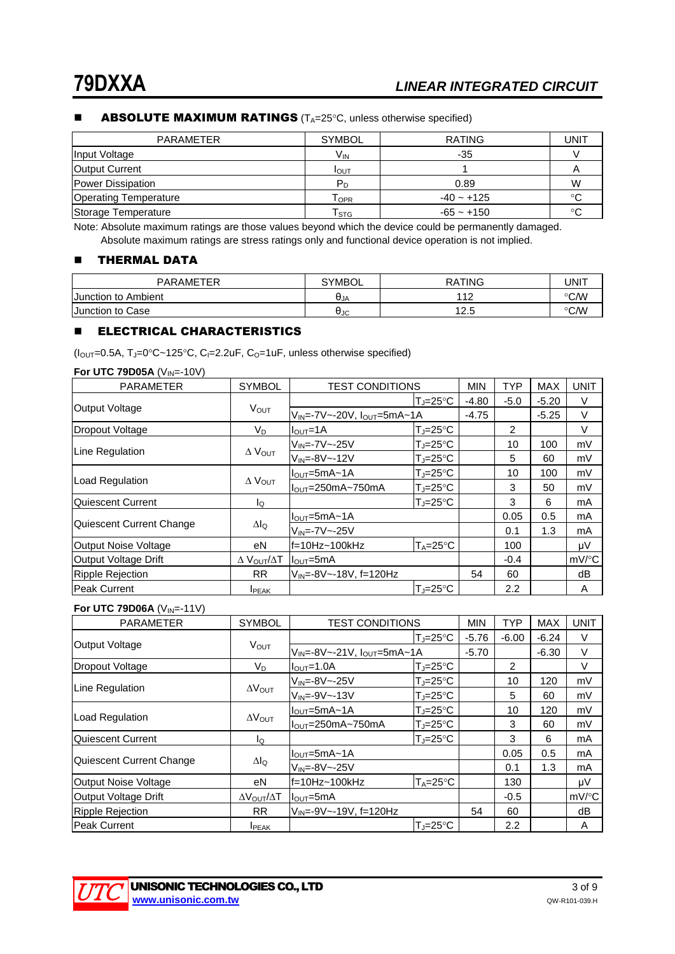### **ABSOLUTE MAXIMUM RATINGS** ( $T_A=25^\circ$ C, unless otherwise specified)

| PARAMETER                    | <b>RATING</b><br><b>SYMBOL</b> |              | UNIT    |
|------------------------------|--------------------------------|--------------|---------|
| Input Voltage                | V <sub>IN</sub>                | $-35$        |         |
| <b>Output Current</b>        | $I_{\text{OUT}}$               |              |         |
| <b>Power Dissipation</b>     | $P_D$                          | 0.89         | W       |
| <b>Operating Temperature</b> | $\mathsf{T}_{\mathsf{OPR}}$    | $-40 - +125$ | $\circ$ |
| Storage Temperature          | $\mathsf{T}_{\texttt{STG}}$    | $-65 - +150$ | $\circ$ |

Note: Absolute maximum ratings are those values beyond which the device could be permanently damaged. Absolute maximum ratings are stress ratings only and functional device operation is not implied.

### **THERMAL DATA**

| <b>PARAMETER</b>           | <b>SYMBOL</b> | <b>RATING</b> | UNIT |
|----------------------------|---------------|---------------|------|
| <b>Junction to Ambient</b> | $\theta_{JA}$ | 11つ<br>. .    | ℃⁄W  |
| Junction to Case           | θJc           | 12.5          | ℃⁄W  |

#### **ELECTRICAL CHARACTERISTICS**

 $(l_{\text{OUT}}=0.5A, T_{\text{J}}=0^{\circ}\text{C}-125^{\circ}\text{C}, C_{\text{I}}=2.2\text{uF}, C_{\text{O}}=1\text{uF},$  unless otherwise specified)

|  |  |  | For UTC 79D05A (VIN=-10V) |
|--|--|--|---------------------------|
|--|--|--|---------------------------|

| <b>PARAMETER</b>            | <b>SYMBOL</b>             | <b>TEST CONDITIONS</b>                       |                     | <b>MIN</b> | <b>TYP</b> | <b>MAX</b> | <b>UNIT</b>         |
|-----------------------------|---------------------------|----------------------------------------------|---------------------|------------|------------|------------|---------------------|
|                             |                           |                                              | $T = 25^{\circ}C$   | $-4.80$    | $-5.0$     | $-5.20$    | V                   |
| Output Voltage              | <b>VOUT</b>               | $V_{IN} = -7V - -20V$ , $I_{OUT} = 5mA - 1A$ |                     | $-4.75$    |            | $-5.25$    | V                   |
| Dropout Voltage             | $V_D$                     | $IOUT=1A$                                    | $T = 25^{\circ}C$   |            | 2          |            | V                   |
|                             |                           | $V_{IN} = -7V - -25V$                        | $T_J = 25^{\circ}C$ |            | 10         | 100        | mV                  |
| Line Regulation             | $\Delta$ $V_{OUT}$        | $V_{IN} = -8V - -12V$                        | $T_{\rm J}$ =25°C   |            | 5          | 60         | mV                  |
|                             |                           | $IOUT=5mA~1A$                                | $T_J = 25^{\circ}C$ |            | 10         | 100        | mV                  |
| Load Regulation             | $\Delta$ Vout             | $IOUT=250mA~750mA$                           | $T_J = 25^{\circ}C$ |            | 3          | 50         | mV                  |
| Quiescent Current           | lo                        |                                              | $T = 25^{\circ}C$   |            | 3          | 6          | mA                  |
|                             |                           | $IOUT=5mA~1A$                                |                     |            | 0.05       | 0.5        | mA                  |
| Quiescent Current Change    | Δlo                       | $V_{IN} = -7V - -25V$                        |                     |            | 0.1        | 1.3        | mA                  |
| <b>Output Noise Voltage</b> | eN                        | $f=10Hz-100kHz$                              | $T_A = 25^{\circ}C$ |            | 100        |            | μV                  |
| Output Voltage Drift        | $\Delta$ Vout/ $\Delta$ T | $IOUT=5mA$                                   |                     |            | $-0.4$     |            | $mV$ <sup>o</sup> C |
| <b>Ripple Rejection</b>     | <b>RR</b>                 | $V_{IN} = -8V - -18V$ , f=120Hz              |                     | 54         | 60         |            | dB                  |
| <b>Peak Current</b>         | <b>IPEAK</b>              |                                              | $T_J = 25^\circ C$  |            | 2.2        |            | A                   |

#### **For UTC 79D06A** (V<sub>IN</sub>=-11V)

| $\sqrt{2}$               |                                  |                                              |                           |            |            |            |                     |
|--------------------------|----------------------------------|----------------------------------------------|---------------------------|------------|------------|------------|---------------------|
| <b>PARAMETER</b>         | <b>SYMBOL</b>                    | <b>TEST CONDITIONS</b>                       |                           | <b>MIN</b> | <b>TYP</b> | <b>MAX</b> | <b>UNIT</b>         |
|                          |                                  |                                              | $T_J = 25^{\circ}C$       | $-5.76$    | $-6.00$    | $-6.24$    | V                   |
| Output Voltage           | <b>VOUT</b>                      | $V_{IN} = -8V - -21V$ , $I_{OUT} = 5mA - 1A$ |                           | $-5.70$    |            | $-6.30$    | V                   |
| Dropout Voltage          | $V_{\text{D}}$                   | $I_{\text{OUT}}=1.0A$                        | $T_J = 25^{\circ}C$       |            | 2          |            | $\vee$              |
| Line Regulation          |                                  | $V_{IN} = -8V - -25V$                        | $T_J = 25^{\circ}C$       |            | 10         | 120        | mV                  |
|                          | $\Delta V_{\text{OUT}}$          | $V_{IN} = -9V - -13V$                        | $T_J = 25^{\circ}C$       |            | 5          | 60         | mV                  |
|                          | $\Delta V_{\text{OUT}}$          | $I_{\text{OUT}} = 5mA - 1A$                  | $T_J = 25^\circ C$        |            | 10         | 120        | mV                  |
| Load Regulation          |                                  | $IOUT=250mA~750mA$                           | $T_{\rm J} = 25^{\circ}C$ |            | 3          | 60         | mV                  |
| <b>Quiescent Current</b> | ΙQ                               |                                              | $T_J = 25^{\circ}C$       |            | 3          | 6          | mA                  |
|                          |                                  | $IOUT=5mA~1A$                                |                           |            | 0.05       | 0.5        | mA                  |
| Quiescent Current Change | $\Delta I_Q$                     | $V_{IN} = -8V - -25V$                        |                           |            | 0.1        | 1.3        | mA                  |
| Output Noise Voltage     | eN                               | f=10Hz~100kHz                                | $T_A = 25^{\circ}C$       |            | 130        |            | μV                  |
| Output Voltage Drift     | $\Delta V_{\text{OUT}}/\Delta T$ | $I_{\text{OUT}} = 5 \text{mA}$               |                           |            | $-0.5$     |            | $mV$ <sup>o</sup> C |
| <b>Ripple Rejection</b>  | <b>RR</b>                        | $V_{IN} = -9V - -19V$ , f=120Hz              |                           | 54         | 60         |            | dB                  |
| Peak Current             | <b>I</b> PEAK                    |                                              | $T = 25^{\circ}C$         |            | 2.2        |            | A                   |

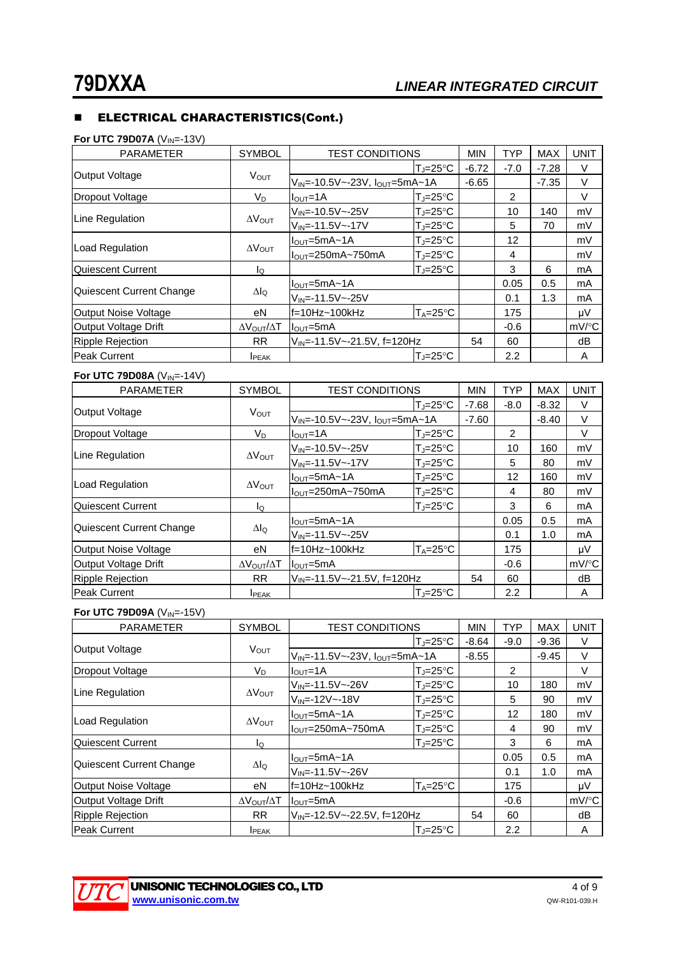# **ELECTRICAL CHARACTERISTICS(Cont.)**

**For UTC 79D07A** (V<sub>IN</sub>=-13V)

| <b>PARAMETER</b>            | <b>SYMBOL</b>                 | <b>TEST CONDITIONS</b>                   |                           | <b>MIN</b> | <b>TYP</b>       | <b>MAX</b> | <b>UNIT</b>         |
|-----------------------------|-------------------------------|------------------------------------------|---------------------------|------------|------------------|------------|---------------------|
|                             |                               |                                          | $T_{\rm J} = 25^{\circ}C$ | $-6.72$    | $-7.0$           | $-7.28$    | V                   |
| Output Voltage              | V <sub>OUT</sub>              | $V_{IN}$ =-10.5V~-23V, $I_{OUT}$ =5mA~1A |                           | $-6.65$    |                  | $-7.35$    | V                   |
| Dropout Voltage             | $V_D$                         | $IQUT=1A$                                | $T = 25^{\circ}C$         |            | 2                |            | V                   |
|                             |                               | $V_{IN} = -10.5V - -25V$                 | $T_{\rm J}$ =25°C         |            | 10               | 140        | mV                  |
| Line Regulation             | $\Delta V_{\text{OUT}}$       | $V_{IN} = -11.5V - -17V$                 | $T_J = 25^{\circ}C$       |            | 5                | 70         | mV                  |
|                             |                               | $IOUT=5mA~1A$                            | $T_J = 25^{\circ}C$       |            | 12               |            | mV                  |
| Load Regulation             | $\Delta V_{\text{OUT}}$       | $IOUT=250mA~750mA$                       | $T_J = 25^{\circ}C$       |            | 4                |            | mV                  |
| Quiescent Current           | lo                            |                                          | $T_{J} = 25^{\circ}C$     |            | 3                | 6          | mA                  |
|                             |                               | $I_{\text{OUT}} = 5mA - 1A$              |                           |            | 0.05             | 0.5        | mA                  |
| Quiescent Current Change    | $\Delta I_Q$                  | $V_{IN} = -11.5V - -25V$                 |                           |            | 0.1              | 1.3        | mA                  |
| <b>Output Noise Voltage</b> | eN                            | $f=10Hz-100kHz$                          | $T_A = 25^{\circ}C$       |            | 175              |            | μV                  |
| Output Voltage Drift        | $\Delta V_{\rm OUT}/\Delta T$ | I <sub>out</sub> =5mA                    |                           |            | $-0.6$           |            | $mV$ <sup>o</sup> C |
| <b>Ripple Rejection</b>     | <b>RR</b>                     | $V_{IN} = -11.5V - 21.5V$ , f=120Hz      |                           | 54         | 60               |            | dB                  |
| Peak Current                | <b>I</b> PEAK                 |                                          | $T_{J} = 25^{\circ}C$     |            | $2.2\phantom{0}$ |            | A                   |

### **For UTC 79D08A** (V<sub>IN</sub>=-14V)

| <b>PARAMETER</b>         | <b>SYMBOL</b>                    | <b>TEST CONDITIONS</b>                   |                     | <b>MIN</b> | <b>TYP</b>     | <b>MAX</b> | <b>UNIT</b>         |
|--------------------------|----------------------------------|------------------------------------------|---------------------|------------|----------------|------------|---------------------|
|                          |                                  |                                          | $T = 25^{\circ}C$   | $-7.68$    | $-8.0$         | $-8.32$    | V                   |
| Output Voltage           | <b>VOUT</b>                      | $V_{IN}$ =-10.5V~-23V, $I_{OUT}$ =5mA~1A |                     | $-7.60$    |                | $-8.40$    | V                   |
| Dropout Voltage          | V <sub>D</sub>                   | $IOUT=1A$                                | $T_J = 25^{\circ}C$ |            | $\overline{2}$ |            | V                   |
|                          |                                  | $V_{IN} = -10.5V - -25V$                 | $T_{\rm J}$ =25°C   |            | 10             | 160        | mV                  |
| Line Regulation          | $\Delta V_{\text{OUT}}$          | $V_{IN} = -11.5V - -17V$                 | $T_J = 25^{\circ}C$ |            | 5              | 80         | mV                  |
|                          |                                  | $IOUT=5mA~1A$                            | $T_J = 25^\circ C$  |            | 12             | 160        | mV                  |
| Load Regulation          | $\Delta V_{\text{OUT}}$          | $IQUT=250mA~750mA$                       | $T_J = 25^{\circ}C$ |            | 4              | 80         | mV                  |
| Quiescent Current        | ΙQ                               |                                          | $T_J = 25^{\circ}C$ |            | 3              | 6          | mA                  |
|                          |                                  | $IQUT=5mA~1A$                            |                     |            | 0.05           | 0.5        | mA                  |
| Quiescent Current Change | $\Delta I_Q$                     | $V_{IN} = -11.5V - -25V$                 |                     |            | 0.1            | 1.0        | mA                  |
| Output Noise Voltage     | eN                               | f=10Hz~100kHz                            | $T_A = 25^{\circ}C$ |            | 175            |            | μV                  |
| Output Voltage Drift     | $\Delta V_{\text{OUT}}/\Delta T$ | $IOUT=5mA$                               |                     |            | $-0.6$         |            | $mV$ <sup>o</sup> C |
| <b>Ripple Rejection</b>  | <b>RR</b>                        | $V_{IN}$ =-11.5V ~-21.5V, f=120Hz        |                     | 54         | 60             |            | dB                  |
| <b>Peak Current</b>      | <b>I</b> PEAK                    |                                          | $T_J = 25^{\circ}C$ |            | 2.2            |            | A                   |

#### **For UTC 79D09A** (V<sub>IN</sub>=-15V)

| <b>PARAMETER</b>            | <b>SYMBOL</b>               | <b>TEST CONDITIONS</b>                         |                     | <b>MIN</b> | <b>TYP</b> | <b>MAX</b> | <b>UNIT</b> |
|-----------------------------|-----------------------------|------------------------------------------------|---------------------|------------|------------|------------|-------------|
| Output Voltage              |                             |                                                | $T_J = 25^{\circ}C$ | $-8.64$    | $-9.0$     | $-9.36$    | V           |
|                             | <b>VOUT</b>                 | $V_{IN} = -11.5V - 23V$ , $I_{OUT} = 5mA - 1A$ |                     | $-8.55$    |            | $-9.45$    | V           |
| Dropout Voltage             | $V_D$                       | $IOUT=1A$                                      | $T_J = 25^{\circ}C$ |            | 2          |            | V           |
|                             |                             | $V_{IN} = -11.5V - -26V$                       | $T_J = 25^{\circ}C$ |            | 10         | 180        | mV          |
| Line Regulation             | $\Delta V_{\text{OUT}}$     | $V_{IN} = -12V - -18V$                         | $T_J = 25^\circ C$  |            | 5          | 90         | mV          |
|                             | $\Delta V_{\text{OUT}}$     | $IOUT=5mA~1A$                                  | $T_J = 25^\circ C$  |            | 12         | 180        | mV          |
| Load Regulation             |                             | $IOUT=250mA~750mA$                             | $T_J = 25^{\circ}C$ |            | 4          | 90         | mV          |
| <b>Quiescent Current</b>    | lo                          |                                                | $T_J = 25^{\circ}C$ |            | 3          | 6          | mA          |
|                             |                             | $IOUT=5mA~1A$                                  |                     |            | 0.05       | 0.5        | mA          |
| Quiescent Current Change    | $\Delta I_Q$                | $V_{IN} = -11.5V - -26V$                       |                     |            | 0.1        | 1.0        | mA          |
| <b>Output Noise Voltage</b> | eN                          | f=10Hz~100kHz                                  | $T_A = 25^{\circ}C$ |            | 175        |            | μV          |
| Output Voltage Drift        | Δ $V_{\text{OUT}}/\Delta T$ | ll <sub>o∪T</sub> =5mA                         |                     |            | $-0.6$     |            | mV/°C       |
| <b>Ripple Rejection</b>     | RR.                         | $V_{IN}$ =-12.5V ~-22.5V, f=120Hz              |                     | 54         | 60         |            | dB          |
| Peak Current                | <b>IPEAK</b>                |                                                | $T = 25^{\circ}C$   |            | 2.2        |            | A           |

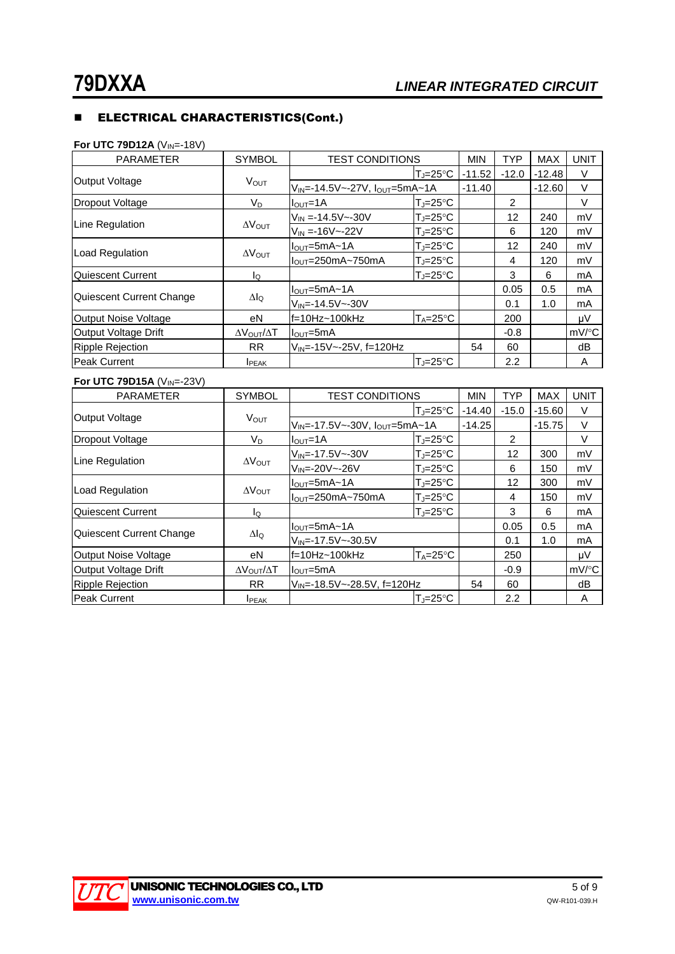# **ELECTRICAL CHARACTERISTICS(Cont.)**

**For UTC 79D12A** (V<sub>IN</sub>=-18V)

| <b>PARAMETER</b>            | <b>SYMBOL</b>                 | <b>TEST CONDITIONS</b>                          |                     | MIN      | <b>TYP</b> | <b>MAX</b> | <b>UNIT</b>         |
|-----------------------------|-------------------------------|-------------------------------------------------|---------------------|----------|------------|------------|---------------------|
|                             |                               |                                                 | $T = 25^{\circ}C$   | $-11.52$ | $-12.0$    | $-12.48$   | V                   |
| Output Voltage              | <b>V</b> <sub>OUT</sub>       | $V_{IN} = -14.5V - -27V$ , $I_{OUT} = 5mA - 1A$ |                     | $-11.40$ |            | $-12.60$   | V                   |
| Dropout Voltage             | V <sub>D</sub>                | $IOUT=1A$                                       | $T = 25^{\circ}C$   |          | 2          |            | V                   |
|                             |                               | $V_{IN} = -14.5V - -30V$                        | $T_J = 25^{\circ}C$ |          | 12         | 240        | mV                  |
| Line Regulation             | $\Delta V_{\text{OUT}}$       | $V_{IN} = -16V - -22V$                          | $T_J = 25^{\circ}C$ |          | 6          | 120        | mV                  |
|                             |                               | $I_{\text{OUT}} = 5mA - 1A$                     | $T_J = 25^{\circ}C$ |          | 12         | 240        | mV                  |
| Load Regulation             | $\Delta V_{\text{OUT}}$       | Ilout=250mA~750mA                               | $T_J = 25^{\circ}C$ |          | 4          | 120        | mV                  |
| <b>Quiescent Current</b>    | lo                            |                                                 | $T = 25^{\circ}C$   |          | 3          | 6          | mA                  |
|                             |                               | $I_{\text{OUT}} = 5mA - 1A$                     |                     |          | 0.05       | 0.5        | mA                  |
| Quiescent Current Change    | Δlo                           | $V_{IN} = -14.5V - -30V$                        |                     |          | 0.1        | 1.0        | mA                  |
| <b>Output Noise Voltage</b> | eN                            | f=10Hz~100kHz                                   | $T_A = 25^{\circ}C$ |          | 200        |            | μV                  |
| Output Voltage Drift        | $\Delta V_{\rm OUT}/\Delta T$ | II <sub>o∪⊤</sub> =5mA                          |                     |          | $-0.8$     |            | $mV$ <sup>o</sup> C |
| Ripple Rejection            | <b>RR</b>                     | V <sub>IN</sub> =-15V~-25V, f=120Hz             |                     | 54       | 60         |            | dB                  |
| <b>Peak Current</b>         | <b>IPEAK</b>                  |                                                 | $T = 25^{\circ}C$   |          | 2.2        |            | A                   |

# **For UTC 79D15A** (V<sub>IN</sub>=-23V)

| <b>PARAMETER</b>         | <b>SYMBOL</b>                    | <b>TEST CONDITIONS</b>                          |                     | <b>MIN</b> | <b>TYP</b> | <b>MAX</b> | <b>UNIT</b>         |
|--------------------------|----------------------------------|-------------------------------------------------|---------------------|------------|------------|------------|---------------------|
| Output Voltage           | <b>VOUT</b>                      |                                                 | $T = 25^{\circ}C$   | $-14.40$   | $-15.0$    | $-15.60$   | V                   |
|                          |                                  | $V_{IN} = -17.5V - -30V$ , $I_{OUT} = 5mA - 1A$ |                     | $-14.25$   |            | $-15.75$   | V                   |
| Dropout Voltage          | V <sub>D</sub>                   | $IOUT=1A$                                       | $T_{\rm J}$ =25°C   |            | 2          |            | V                   |
| Line Regulation          | $\Delta V_{\text{OUT}}$          | $V_{IN} = -17.5V - -30V$                        | $T_{\rm J}$ =25°C.  |            | 12         | 300        | mV                  |
|                          |                                  | $V_{IN} = -20V - -26V$                          | $T_{\rm J}$ =25°C.  |            | 6          | 150        | mV                  |
| Load Regulation          | $\Delta V_{\text{OUT}}$          | $IOUT=5mA~1A$                                   | $T_J = 25^{\circ}C$ |            | 12         | 300        | mV                  |
|                          |                                  | $I_{\text{OUT}}$ =250mA~750mA                   | $T_J = 25^{\circ}C$ |            | 4          | 150        | mV                  |
| <b>Quiescent Current</b> | ΙQ                               |                                                 | $T = 25^{\circ}C$   |            | 3          | 6          | mA                  |
| Quiescent Current Change | Δlo                              | $IOUT=5mA~1A$                                   |                     |            | 0.05       | 0.5        | mA                  |
|                          |                                  | $V_{IN} = -17.5V - -30.5V$                      |                     |            | 0.1        | 1.0        | mA                  |
| Output Noise Voltage     | еN                               | $f=10Hz - 100kHz$                               | $T_A = 25^{\circ}C$ |            | 250        |            | μV                  |
| Output Voltage Drift     | $\Delta V_{\text{OUT}}/\Delta T$ | $I_{\text{OUT}} = 5 \text{mA}$                  |                     |            | $-0.9$     |            | $mV$ <sup>o</sup> C |
| <b>Ripple Rejection</b>  | <b>RR</b>                        | V <sub>IN</sub> =-18.5V~-28.5V, f=120Hz         |                     | 54         | 60         |            | dB                  |
| <b>Peak Current</b>      | <b>IPEAK</b>                     |                                                 | $T = 25^{\circ}C$   |            | 2.2        |            | A                   |

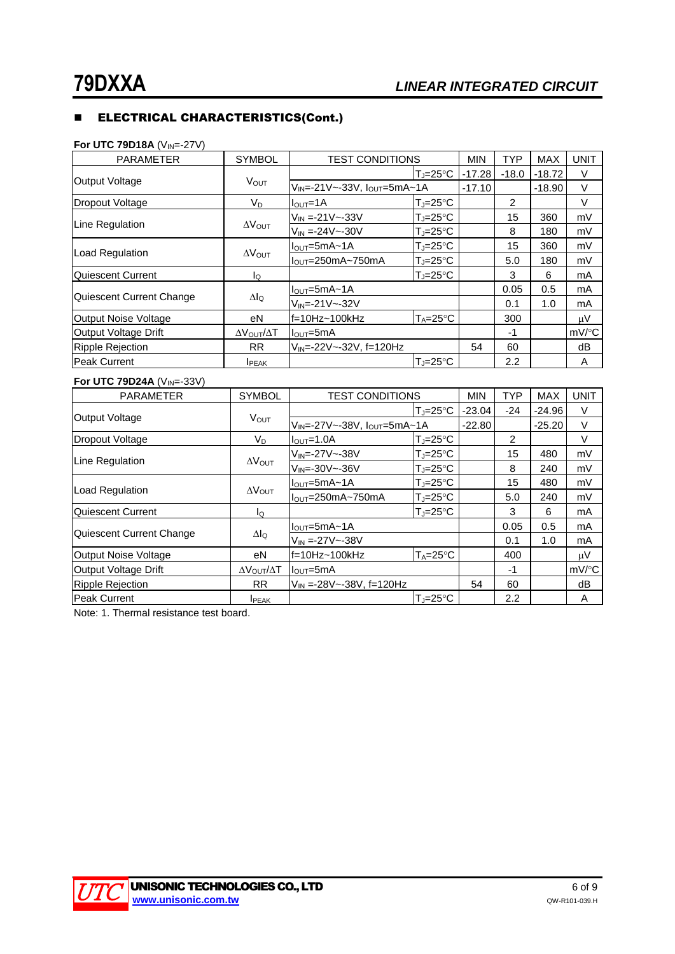# **ELECTRICAL CHARACTERISTICS(Cont.)**

**For UTC 79D18A** (V<sub>IN</sub>=-27V)

| <b>PARAMETER</b>         | <b>SYMBOL</b>                    | <b>TEST CONDITIONS</b>                        |                     | <b>MIN</b> | <b>TYP</b> | <b>MAX</b> | <b>UNIT</b> |
|--------------------------|----------------------------------|-----------------------------------------------|---------------------|------------|------------|------------|-------------|
| Output Voltage           | <b>VOUT</b>                      |                                               | $T = 25^{\circ}C$   | $-17.28$   | $-18.0$    | $-18.72$   | V           |
|                          |                                  | $V_{IN} = -21V - -33V$ , $I_{OUT} = 5mA - 1A$ |                     | $-17.10$   |            | $-18.90$   | $\vee$      |
| Dropout Voltage          | V <sub>D</sub>                   | $IOUT=1A$                                     | T.⊫25°C             |            | 2          |            | V           |
| Line Regulation          | $\Delta V_{\text{OUT}}$          | $V_{IN} = -21V - -33V$                        | $T = 25^{\circ}C$   |            | 15         | 360        | mV          |
|                          |                                  | $V_{IN} = -24V \sim -30V$                     | $T = 25^{\circ}C$   |            | 8          | 180        | mV          |
| Load Regulation          | $\Delta V_{\text{OUT}}$          | $IOUT=5mA~1A$                                 | $T = 25^{\circ}C$   |            | 15         | 360        | mV          |
|                          |                                  | $IQUT=250mA~750mA$                            | $T = 25^{\circ}C$   |            | 5.0        | 180        | mV          |
| Quiescent Current        | lQ                               |                                               | $T = 25^{\circ}C$   |            | 3          | 6          | mA          |
| Quiescent Current Change | Δlo                              | $IOUT=5mA~1A$                                 |                     |            | 0.05       | 0.5        | mA          |
|                          |                                  | $V_{IN} = -21V - -32V$                        |                     |            | 0.1        | 1.0        | mA          |
| Output Noise Voltage     | еN                               | f=10Hz~100kHz                                 | $T_A = 25^{\circ}C$ |            | 300        |            | μV          |
| Output Voltage Drift     | $\Delta V_{\text{OUT}}/\Delta T$ | $I_{\text{OUT}} = 5 \text{mA}$                |                     |            | -1         |            | $mV$ /°C    |
| <b>Ripple Rejection</b>  | <b>RR</b>                        | $V_{IN} = -22V - -32V$ , f=120Hz              |                     | 54         | 60         |            | dВ          |
| Peak Current             | <b>I</b> PEAK                    |                                               | $T = 25^{\circ}C$   |            | 2.2        |            | A           |

### **For UTC 79D24A** (V<sub>IN</sub>=-33V)

| <b>PARAMETER</b>            | <b>SYMBOL</b>               | <b>TEST CONDITIONS</b>                         |                     | <b>MIN</b> | <b>TYP</b> | <b>MAX</b> | <b>UNIT</b>         |
|-----------------------------|-----------------------------|------------------------------------------------|---------------------|------------|------------|------------|---------------------|
| Output Voltage              | <b>VOUT</b>                 |                                                | $T = 25^{\circ}C$   | $-23.04$   | $-24$      | $-24.96$   | V                   |
|                             |                             | $V_{IN} = -27V - -38V$ , $I_{OUT} = 5mA - 1A$  |                     | $-22.80$   |            | $-25.20$   | V                   |
| Dropout Voltage             | V <sub>D</sub>              | $IOUT=1.0A$                                    | $T_{\rm J}$ =25°C   |            | 2          |            | V                   |
| Line Regulation             | $\Delta V_{\text{OUT}}$     | $V_{IN} = -27V - -38V$                         | $T_{\rm J}$ =25°C   |            | 15         | 480        | mV                  |
|                             |                             | $V_{IN} = -30V - -36V$                         | $T_{\rm J}$ =25°C   |            | 8          | 240        | mV                  |
| Load Regulation             | $\Delta V_{\text{OUT}}$     | $I_{\text{OUT}} = 5 \text{mA} \sim 1 \text{A}$ | $T_J = 25^\circ C$  |            | 15         | 480        | mV                  |
|                             |                             | $IOUT=250mA~750mA$                             | $T_{\rm J}$ =25°C   |            | 5.0        | 240        | mV                  |
| Quiescent Current           | ΙQ                          |                                                | $T_J = 25^{\circ}C$ |            | 3          | 6          | mA                  |
| Quiescent Current Change    | Δlo                         | $IOUT=5mA~1A$                                  |                     |            | 0.05       | 0.5        | mA                  |
|                             |                             | $V_{IN} = -27V - -38V$                         |                     |            | 0.1        | 1.0        | mA                  |
| <b>Output Noise Voltage</b> | eN                          | $f=10Hz-100kHz$                                | $T_A = 25^{\circ}C$ |            | 400        |            | μV                  |
| Output Voltage Drift        | Δ $V_{\text{OUT}}/\Delta T$ | $I_{\text{OUT}} = 5 \text{mA}$                 |                     |            | $-1$       |            | $mV$ <sup>o</sup> C |
| <b>Ripple Rejection</b>     | <b>RR</b>                   | $V_{IN} = -28V - 38V$ , f=120Hz                |                     | 54         | 60         |            | dB                  |
| <b>Peak Current</b>         | <b>IPEAK</b>                |                                                | $T = 25^{\circ}C$   |            | 2.2        |            | A                   |

Note: 1. Thermal resistance test board.

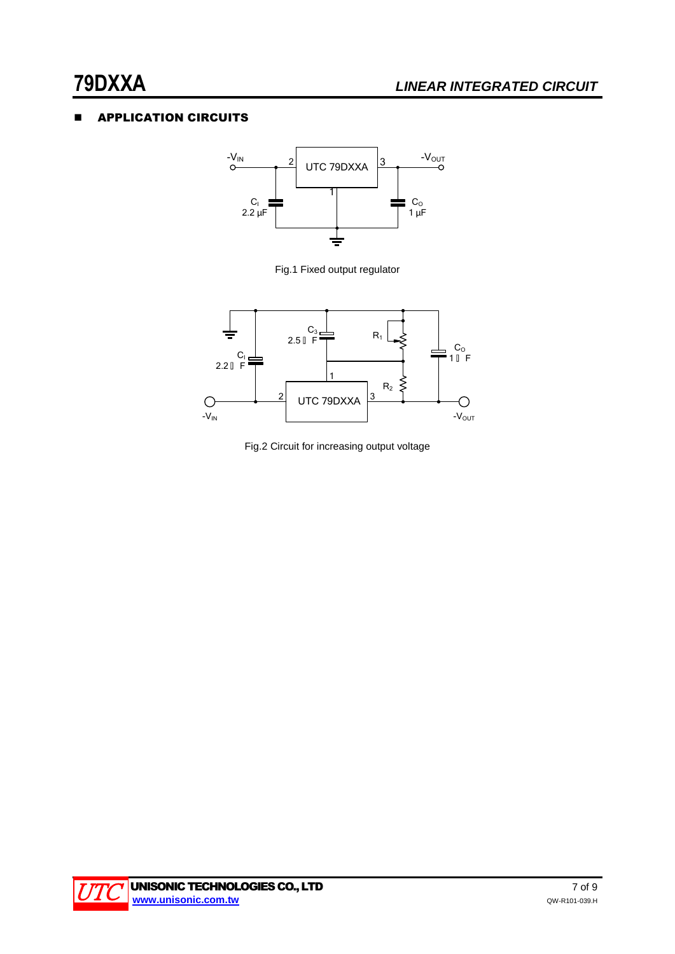# **E** APPLICATION CIRCUITS



Fig.1 Fixed output regulator



Fig.2 Circuit for increasing output voltage

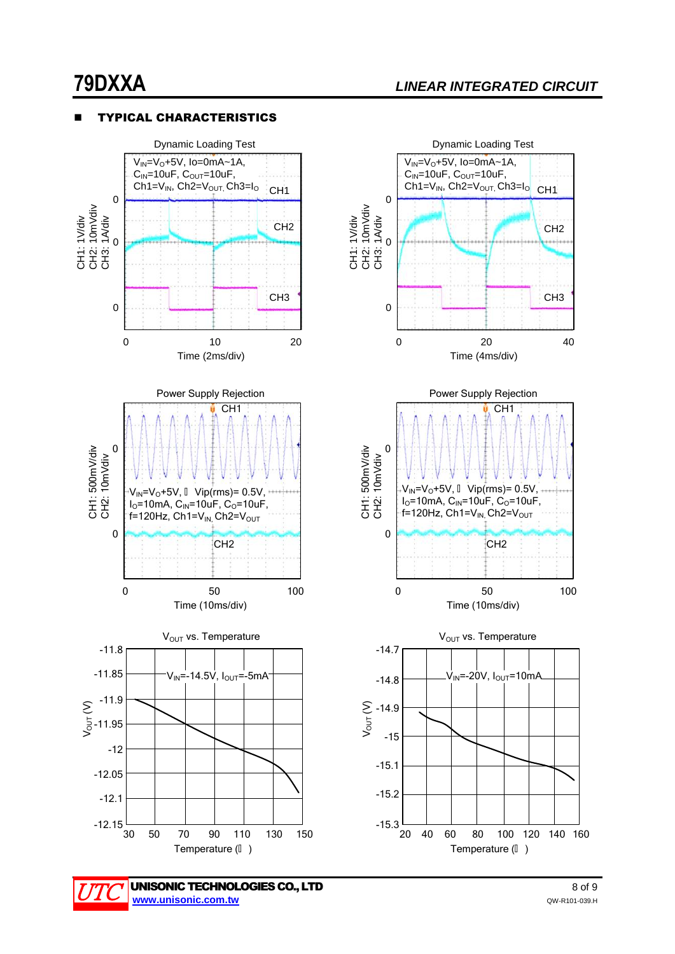# TYPICAL CHARACTERISTICS





UNISONIC TECHNOLOGIES CO., LTD 8 of 9 **www.unisonic.com.tw** QW-R101-039.H